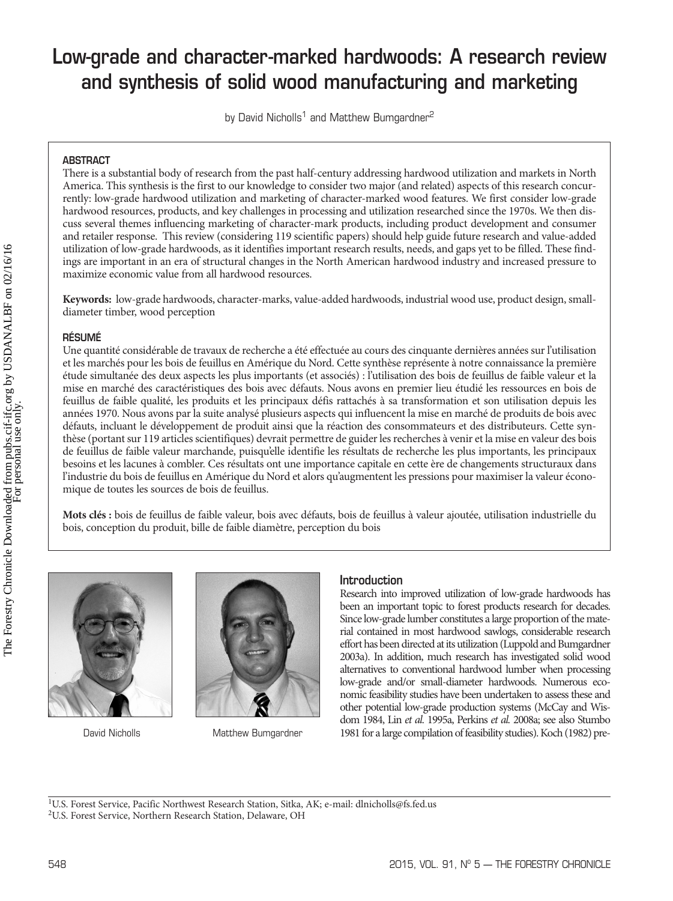# **Low-grade and character-marked hardwoods: A research review and synthesis of solid wood manufacturing and marketing**

by David Nicholls<sup>1</sup> and Matthew Bumgardner<sup>2</sup>

# **ABSTRACT**

There is a substantial body of research from the past half-century addressing hardwood utilization and markets in North America. This synthesis is the first to our knowledge to consider two major (and related) aspects of this research concurrently: low-grade hardwood utilization and marketing of character-marked wood features. We first consider low-grade hardwood resources, products, and key challenges in processing and utilization researched since the 1970s. We then discuss several themes influencing marketing of character-mark products, including product development and consumer and retailer response. This review (considering 119 scientific papers) should help guide future research and value-added utilization of low-grade hardwoods, as it identifies important research results, needs, and gaps yet to be filled. These findings are important in an era of structural changes in the North American hardwood industry and increased pressure to maximize economic value from all hardwood resources.

**Keywords:** low-grade hardwoods, character-marks, value-added hardwoods, industrial wood use, product design,smalldiameter timber, wood perception

# **RÉSUMÉ**

Une quantité considérable de travaux de recherche a été effectuée au cours des cinquante dernières années sur l'utilisation et les marchés pour les bois de feuillus en Amérique du Nord. Cette synthèse représente à notre connaissance la première étude simultanée des deux aspects les plus importants (et associés) : l'utilisation des bois de feuillus de faible valeur et la mise en marché des caractéristiques des bois avec défauts. Nous avons en premier lieu étudié les ressources en bois de feuillus de faible qualité, les produits et les principaux défis rattachés à sa transformation et son utilisation depuis les années 1970. Nous avons par la suite analysé plusieurs aspects qui influencent la mise en marché de produits de bois avec défauts, incluant le développement de produit ainsi que la réaction des consommateurs et des distributeurs. Cette synthèse (portant sur 119 articles scientifiques) devrait permettre de guider les recherches à venir et la mise en valeur des bois de feuillus de faible valeur marchande, puisqu'elle identifie les résultats de recherche les plus importants, les principaux besoins et les lacunes à combler. Ces résultats ont une importance capitale en cette ère de changements structuraux dans l'industrie du bois de feuillus en Amérique du Nord et alors qu'augmentent les pressions pour maximiser la valeur économique de toutes les sources de bois de feuillus.

**Mots clés :** bois de feuillus de faible valeur, bois avec défauts, bois de feuillus à valeur ajoutée, utilisation industrielle du bois, conception du produit, bille de faible diamètre, perception du bois





David Nicholls Matthew Bumgardner

# **Introduction**

Research into improved utilization of low-grade hardwoods has been an important topic to forest products research for decades. Since low-grade lumber constitutes a large proportion of the material contained in most hardwood sawlogs, considerable research effort has been directed at its utilization (Luppold and Bumgardner 2003a). In addition, much research has investigated solid wood alternatives to conventional hardwood lumber when processing low-grade and/or small-diameter hardwoods. Numerous economic feasibility studies have been undertaken to assess these and other potential low-grade production systems (McCay and Wisdom 1984, Lin *et al.* 1995a, Perkins *et al.* 2008a; see also Stumbo 1981 for a large compilation of feasibility studies). Koch (1982) pre-

<sup>1</sup>U.S. Forest Service, Pacific Northwest Research Station, Sitka, AK; e-mail: dlnicholls@fs.fed.us 2U.S. Forest Service, Northern Research Station, Delaware, OH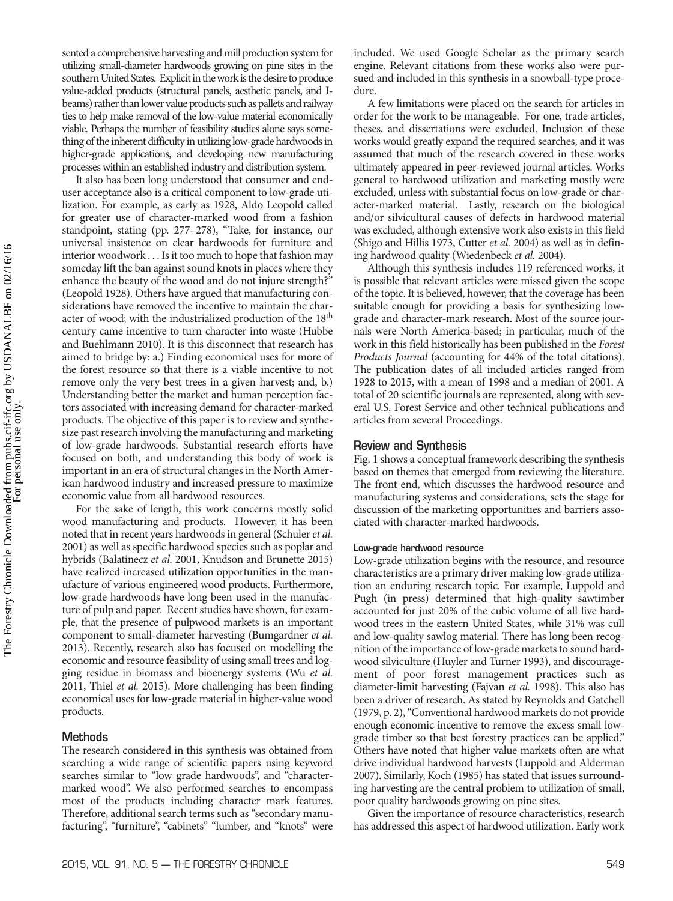sented a comprehensive harvesting and mill production system for utilizing small-diameter hardwoods growing on pine sites in the southern United States. Explicit in the work is the desire to produce value-added products (structural panels, aesthetic panels, and Ibeams) rather than lower value products such as pallets and railway ties to help make removal of the low-value material economically viable. Perhaps the number of feasibility studies alone says something of the inherent difficulty in utilizing low-grade hardwoods in higher-grade applications, and developing new manufacturing processeswithin an established industry and distribution system.

It also has been long understood that consumer and enduser acceptance also is a critical component to low-grade utilization. For example, as early as 1928, Aldo Leopold called for greater use of character-marked wood from a fashion standpoint, stating (pp. 277–278), "Take, for instance, our universal insistence on clear hardwoods for furniture and interior woodwork . . . Is it too much to hope that fashion may someday lift the ban against sound knots in places where they enhance the beauty of the wood and do not injure strength?" (Leopold 1928). Others have argued that manufacturing considerations have removed the incentive to maintain the character of wood; with the industrialized production of the 18th century came incentive to turn character into waste (Hubbe and Buehlmann 2010). It is this disconnect that research has aimed to bridge by: a.) Finding economical uses for more of the forest resource so that there is a viable incentive to not remove only the very best trees in a given harvest; and, b.) Understanding better the market and human perception factors associated with increasing demand for character-marked products. The objective of this paper is to review and synthesize past research involving the manufacturing and marketing of low-grade hardwoods. Substantial research efforts have focused on both, and understanding this body of work is important in an era of structural changes in the North American hardwood industry and increased pressure to maximize economic value from all hardwood resources.

For the sake of length, this work concerns mostly solid wood manufacturing and products. However, it has been noted that in recent years hardwoodsin general (Schuler *et al.* 2001) as well as specific hardwood species such as poplar and hybrids (Balatinecz *et al.* 2001, Knudson and Brunette 2015) have realized increased utilization opportunities in the manufacture of various engineered wood products. Furthermore, low-grade hardwoods have long been used in the manufacture of pulp and paper. Recent studies have shown, for example, that the presence of pulpwood markets is an important component to small-diameter harvesting (Bumgardner *et al.* 2013). Recently, research also has focused on modelling the economic and resource feasibility of using small trees and logging residue in biomass and bioenergy systems (Wu *et al.* 2011, Thiel *et al.* 2015). More challenging has been finding economical uses for low-grade material in higher-value wood products.

## **Methods**

The research considered in this synthesis was obtained from searching a wide range of scientific papers using keyword searches similar to "low grade hardwoods", and "charactermarked wood". We also performed searches to encompass most of the products including character mark features. Therefore, additional search terms such as "secondary manufacturing", "furniture", "cabinets" "lumber, and "knots" were included. We used Google Scholar as the primary search engine. Relevant citations from these works also were pursued and included in this synthesis in a snowball-type procedure.

A few limitations were placed on the search for articles in order for the work to be manageable. For one, trade articles, theses, and dissertations were excluded. Inclusion of these works would greatly expand the required searches, and it was assumed that much of the research covered in these works ultimately appeared in peer-reviewed journal articles. Works general to hardwood utilization and marketing mostly were excluded, unless with substantial focus on low-grade or character-marked material. Lastly, research on the biological and/or silvicultural causes of defects in hardwood material was excluded, although extensive work also exists in this field (Shigo and Hillis 1973, Cutter *et al.* 2004) as well as in defining hardwood quality (Wiedenbeck *et al.* 2004).

Although this synthesis includes 119 referenced works, it is possible that relevant articles were missed given the scope of the topic. It is believed, however, that the coverage has been suitable enough for providing a basis for synthesizing lowgrade and character-mark research. Most of the source journals were North America-based; in particular, much of the work in this field historically has been published in the *Forest Products Journal* (accounting for 44% of the total citations). The publication dates of all included articles ranged from 1928 to 2015, with a mean of 1998 and a median of 2001. A total of 20 scientific journals are represented, along with several U.S. Forest Service and other technical publications and articles from several Proceedings.

## **Review and Synthesis**

Fig. 1 shows a conceptual framework describing the synthesis based on themes that emerged from reviewing the literature. The front end, which discusses the hardwood resource and manufacturing systems and considerations, sets the stage for discussion of the marketing opportunities and barriers associated with character-marked hardwoods.

#### **Low-grade hardwood resource**

Low-grade utilization begins with the resource, and resource characteristics are a primary driver making low-grade utilization an enduring research topic. For example, Luppold and Pugh (in press) determined that high-quality sawtimber accounted for just 20% of the cubic volume of all live hardwood trees in the eastern United States, while 31% was cull and low-quality sawlog material. There has long been recognition of the importance of low-grade markets to sound hardwood silviculture (Huyler and Turner 1993), and discouragement of poor forest management practices such as diameter-limit harvesting (Fajvan *et al.* 1998). This also has been a driver of research. As stated by Reynolds and Gatchell (1979, p. 2),"Conventional hardwood markets do not provide enough economic incentive to remove the excess small lowgrade timber so that best forestry practices can be applied." Others have noted that higher value markets often are what drive individual hardwood harvests (Luppold and Alderman 2007). Similarly, Koch (1985) has stated that issues surrounding harvesting are the central problem to utilization of small, poor quality hardwoods growing on pine sites.

Given the importance of resource characteristics, research has addressed this aspect of hardwood utilization. Early work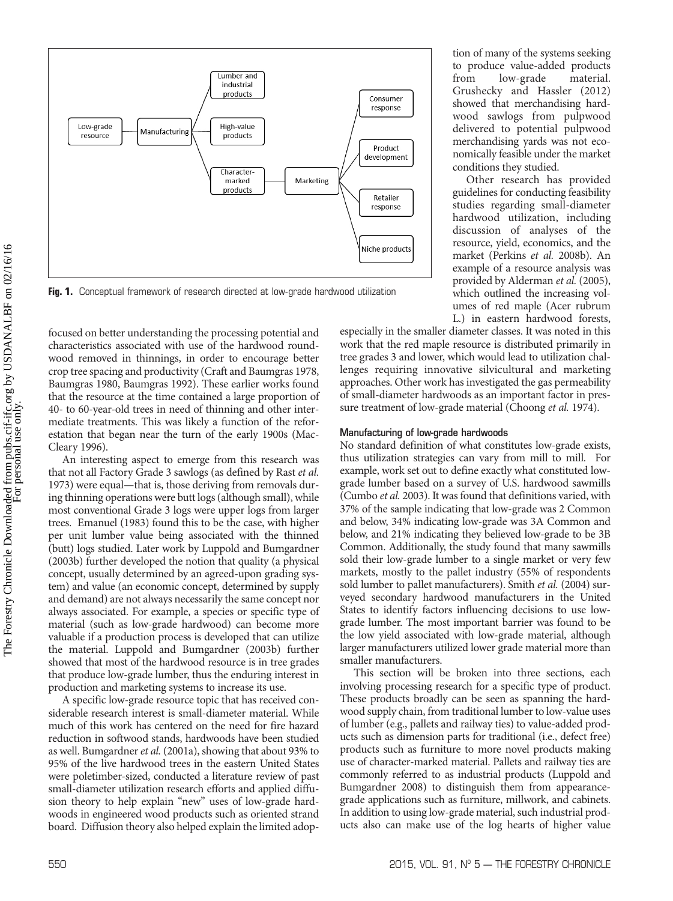

focused on better understanding the processing potential and characteristics associated with use of the hardwood roundwood removed in thinnings, in order to encourage better crop tree spacing and productivity (Craft and Baumgras 1978, Baumgras 1980, Baumgras 1992). These earlier works found that the resource at the time contained a large proportion of 40- to 60-year-old trees in need of thinning and other intermediate treatments. This was likely a function of the reforestation that began near the turn of the early 1900s (Mac-Cleary 1996).

An interesting aspect to emerge from this research was that not all Factory Grade 3 sawlogs (as defined by Rast *et al.* 1973) were equal—that is, those deriving from removals during thinning operations were butt logs (although small), while most conventional Grade 3 logs were upper logs from larger trees. Emanuel (1983) found this to be the case, with higher per unit lumber value being associated with the thinned (butt) logs studied. Later work by Luppold and Bumgardner (2003b) further developed the notion that quality (a physical concept, usually determined by an agreed-upon grading system) and value (an economic concept, determined by supply and demand) are not always necessarily the same concept nor always associated. For example, a species or specific type of material (such as low-grade hardwood) can become more valuable if a production process is developed that can utilize the material. Luppold and Bumgardner (2003b) further showed that most of the hardwood resource is in tree grades that produce low-grade lumber, thus the enduring interest in production and marketing systems to increase its use.

A specific low-grade resource topic that has received considerable research interest is small-diameter material. While much of this work has centered on the need for fire hazard reduction in softwood stands, hardwoods have been studied as well. Bumgardner et al. (2001a), showing that about 93% to 95% of the live hardwood trees in the eastern United States were poletimber-sized, conducted a literature review of past small-diameter utilization research efforts and applied diffusion theory to help explain "new" uses of low-grade hardwoods in engineered wood products such as oriented strand board. Diffusion theory also helped explain the limited adop-

tion of many of the systems seeking to produce value-added products from low-grade material. Grushecky and Hassler (2012) showed that merchandising hardwood sawlogs from pulpwood delivered to potential pulpwood merchandising yards was not economically feasible under the market conditions they studied.

Other research has provided guidelines for conducting feasibility studies regarding small-diameter hardwood utilization, including discussion of analyses of the resource, yield, economics, and the market (Perkins *et al.* 2008b). An example of a resource analysis was provided by Alderman *et al.* (2005), which outlined the increasing volumes of red maple (Acer rubrum L.) in eastern hardwood forests,

especially in the smaller diameter classes. It was noted in this work that the red maple resource is distributed primarily in tree grades 3 and lower, which would lead to utilization challenges requiring innovative silvicultural and marketing approaches. Other work has investigated the gas permeability of small-diameter hardwoods as an important factor in pressure treatment of low-grade material (Choong *et al.* 1974).

## **Manufacturing of low-grade hardwoods**

No standard definition of what constitutes low-grade exists, thus utilization strategies can vary from mill to mill. For example, work set out to define exactly what constituted lowgrade lumber based on a survey of U.S. hardwood sawmills (Cumbo et al. 2003). It was found that definitions varied, with 37% of the sample indicating that low-grade was 2 Common and below, 34% indicating low-grade was 3A Common and below, and 21% indicating they believed low-grade to be 3B Common. Additionally, the study found that many sawmills sold their low-grade lumber to a single market or very few markets, mostly to the pallet industry (55% of respondents sold lumber to pallet manufacturers). Smith *et al.* (2004) surveyed secondary hardwood manufacturers in the United States to identify factors influencing decisions to use lowgrade lumber. The most important barrier was found to be the low yield associated with low-grade material, although larger manufacturers utilized lower grade material more than smaller manufacturers.

This section will be broken into three sections, each involving processing research for a specific type of product. These products broadly can be seen as spanning the hardwood supply chain, from traditional lumber to low-value uses of lumber (e.g., pallets and railway ties) to value-added products such as dimension parts for traditional (i.e., defect free) products such as furniture to more novel products making use of character-marked material. Pallets and railway ties are commonly referred to as industrial products (Luppold and Bumgardner 2008) to distinguish them from appearancegrade applications such as furniture, millwork, and cabinets. In addition to using low-grade material, such industrial products also can make use of the log hearts of higher value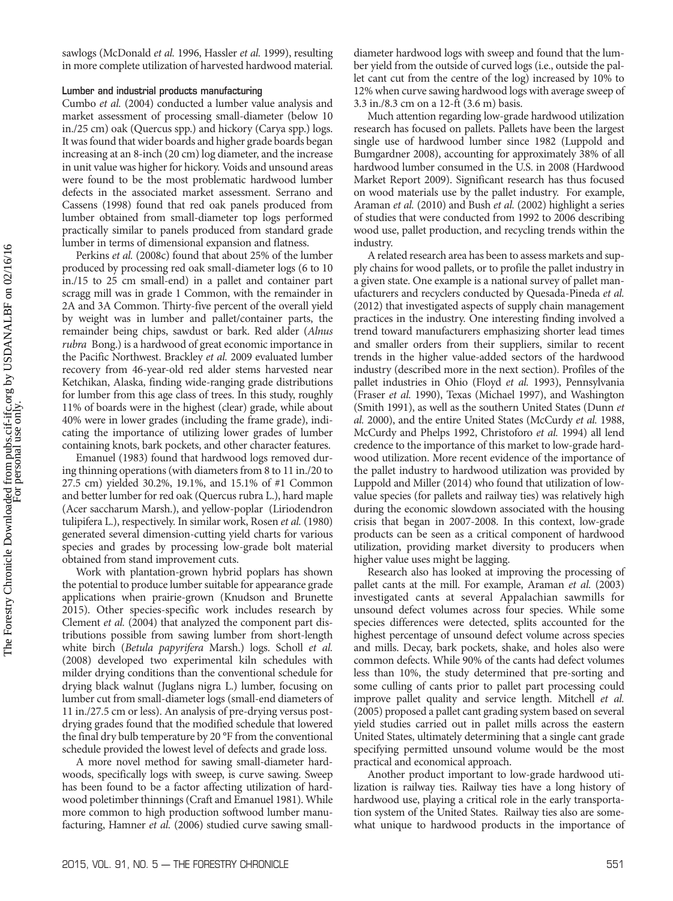sawlogs (McDonald *et al.* 1996, Hassler *et al.* 1999), resulting in more complete utilization of harvested hardwood material.

## **Lumber and industrial products manufacturing**

Cumbo *et al.* (2004) conducted a lumber value analysis and market assessment of processing small-diameter (below 10 in./25 cm) oak (Quercus spp.) and hickory (Carya spp.) logs. It was found that wider boards and higher grade boards began increasing at an 8-inch (20 cm) log diameter, and the increase in unit value was higher for hickory. Voids and unsound areas were found to be the most problematic hardwood lumber defects in the associated market assessment. Serrano and Cassens (1998) found that red oak panels produced from lumber obtained from small-diameter top logs performed practically similar to panels produced from standard grade lumber in terms of dimensional expansion and flatness.

Perkins *et al.* (2008c) found that about 25% of the lumber produced by processing red oak small-diameter logs (6 to 10 in./15 to 25 cm small-end) in a pallet and container part scragg mill was in grade 1 Common, with the remainder in 2A and 3A Common. Thirty-five percent of the overall yield by weight was in lumber and pallet/container parts, the remainder being chips, sawdust or bark. Red alder (*Alnus rubra* Bong.) is a hardwood of great economic importance in the Pacific Northwest. Brackley *et al.* 2009 evaluated lumber recovery from 46-year-old red alder stems harvested near Ketchikan, Alaska, finding wide-ranging grade distributions for lumber from this age class of trees. In this study, roughly 11% of boards were in the highest (clear) grade, while about 40% were in lower grades (including the frame grade), indicating the importance of utilizing lower grades of lumber containing knots, bark pockets, and other character features.

Emanuel (1983) found that hardwood logs removed during thinning operations (with diameters from 8 to 11 in./20 to 27.5 cm) yielded 30.2%, 19.1%, and 15.1% of #1 Common and better lumber for red oak (Quercus rubra L.), hard maple (Acer saccharum Marsh.), and yellow-poplar (Liriodendron tulipifera L.), respectively. In similar work, Rosen *et al.* (1980) generated several dimension-cutting yield charts for various species and grades by processing low-grade bolt material obtained from stand improvement cuts.

Work with plantation-grown hybrid poplars has shown the potential to produce lumber suitable for appearance grade applications when prairie-grown (Knudson and Brunette 2015). Other species-specific work includes research by Clement *et al.* (2004) that analyzed the component part distributions possible from sawing lumber from short-length white birch (*Betula papyrifera* Marsh.) logs. Scholl *et al.* (2008) developed two experimental kiln schedules with milder drying conditions than the conventional schedule for drying black walnut (Juglans nigra L.) lumber, focusing on lumber cut from small-diameter logs (small-end diameters of 11 in./27.5 cm or less). An analysis of pre-drying versus postdrying grades found that the modified schedule that lowered the final dry bulb temperature by 20 °F from the conventional schedule provided the lowest level of defects and grade loss.

A more novel method for sawing small-diameter hardwoods, specifically logs with sweep, is curve sawing. Sweep has been found to be a factor affecting utilization of hardwood poletimber thinnings (Craft and Emanuel 1981). While more common to high production softwood lumber manufacturing, Hamner *et al.* (2006) studied curve sawing smalldiameter hardwood logs with sweep and found that the lumber yield from the outside of curved logs (i.e., outside the pallet cant cut from the centre of the log) increased by 10% to 12% when curve sawing hardwood logs with average sweep of 3.3 in./8.3 cm on a 12-ft (3.6 m) basis.

Much attention regarding low-grade hardwood utilization research has focused on pallets. Pallets have been the largest single use of hardwood lumber since 1982 (Luppold and Bumgardner 2008), accounting for approximately 38% of all hardwood lumber consumed in the U.S. in 2008 (Hardwood Market Report 2009). Significant research has thus focused on wood materials use by the pallet industry. For example, Araman *et al.* (2010) and Bush *et al.* (2002) highlight a series of studies that were conducted from 1992 to 2006 describing wood use, pallet production, and recycling trends within the industry.

A related research area has been to assess markets and supply chains for wood pallets, or to profile the pallet industry in a given state. One example is a national survey of pallet manufacturers and recyclers conducted by Quesada-Pineda *et al.* (2012) that investigated aspects of supply chain management practices in the industry. One interesting finding involved a trend toward manufacturers emphasizing shorter lead times and smaller orders from their suppliers, similar to recent trends in the higher value-added sectors of the hardwood industry (described more in the next section). Profiles of the pallet industries in Ohio (Floyd *et al.* 1993), Pennsylvania (Fraser *et al.* 1990), Texas (Michael 1997), and Washington (Smith 1991), as well as the southern United States (Dunn *et al.* 2000), and the entire United States (McCurdy *et al.* 1988, McCurdy and Phelps 1992, Christoforo *et al.* 1994) all lend credence to the importance of this market to low-grade hardwood utilization. More recent evidence of the importance of the pallet industry to hardwood utilization was provided by Luppold and Miller (2014) who found that utilization of lowvalue species (for pallets and railway ties) was relatively high during the economic slowdown associated with the housing crisis that began in 2007-2008. In this context, low-grade products can be seen as a critical component of hardwood utilization, providing market diversity to producers when higher value uses might be lagging.

Research also has looked at improving the processing of pallet cants at the mill. For example, Araman *et al.* (2003) investigated cants at several Appalachian sawmills for unsound defect volumes across four species. While some species differences were detected, splits accounted for the highest percentage of unsound defect volume across species and mills. Decay, bark pockets, shake, and holes also were common defects. While 90% of the cants had defect volumes less than 10%, the study determined that pre-sorting and some culling of cants prior to pallet part processing could improve pallet quality and service length. Mitchell *et al.* (2005) proposed a pallet cant grading system based on several yield studies carried out in pallet mills across the eastern United States, ultimately determining that a single cant grade specifying permitted unsound volume would be the most practical and economical approach.

Another product important to low-grade hardwood utilization is railway ties. Railway ties have a long history of hardwood use, playing a critical role in the early transportation system of the United States. Railway ties also are somewhat unique to hardwood products in the importance of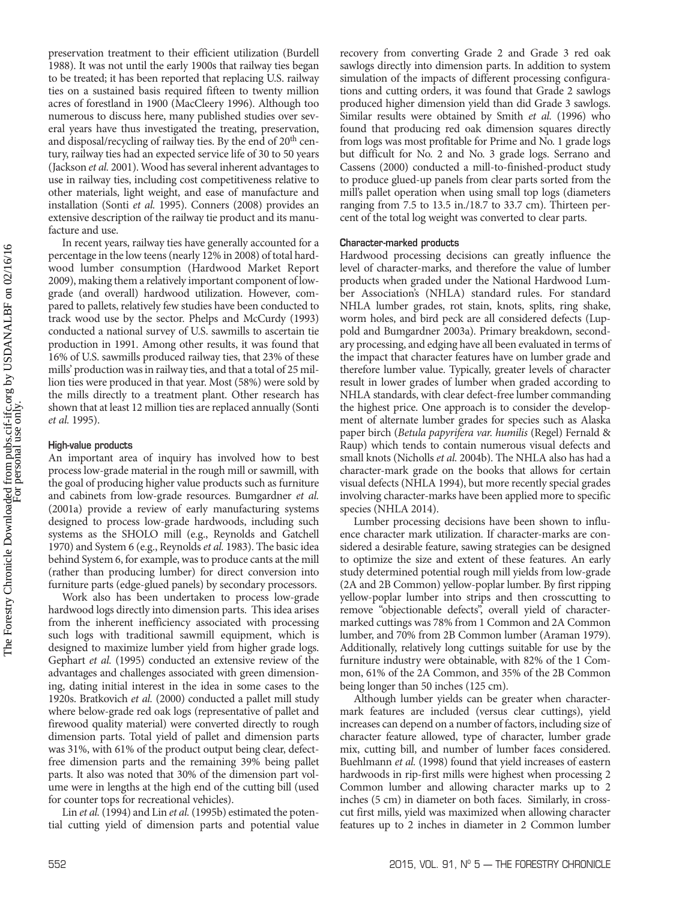preservation treatment to their efficient utilization (Burdell 1988). It was not until the early 1900s that railway ties began to be treated; it has been reported that replacing U.S. railway ties on a sustained basis required fifteen to twenty million acres of forestland in 1900 (MacCleery 1996). Although too numerous to discuss here, many published studies over several years have thus investigated the treating, preservation, and disposal/recycling of railway ties. By the end of 20<sup>th</sup> century, railway ties had an expected service life of 30 to 50 years (Jackson *et al.* 2001). Wood has several inherent advantages to use in railway ties, including cost competitiveness relative to other materials, light weight, and ease of manufacture and installation (Sonti *et al.* 1995). Conners (2008) provides an extensive description of the railway tie product and its manufacture and use.

In recent years, railway ties have generally accounted for a percentage in the lowteens(nearly 12% in 2008) of total hardwood lumber consumption (Hardwood Market Report 2009), making them a relatively important component of lowgrade (and overall) hardwood utilization. However, compared to pallets, relatively few studies have been conducted to track wood use by the sector. Phelps and McCurdy (1993) conducted a national survey of U.S. sawmills to ascertain tie production in 1991. Among other results, it was found that 16% of U.S. sawmills produced railway ties, that 23% of these mills' production was in railway ties, and that a total of 25 million ties were produced in that year. Most (58%) were sold by the mills directly to a treatment plant. Other research has shown that at least 12 million ties are replaced annually (Sonti *et al.* 1995).

#### **High-value products**

An important area of inquiry has involved how to best process low-grade material in the rough mill or sawmill, with the goal of producing higher value products such as furniture and cabinets from low-grade resources. Bumgardner *et al.* (2001a) provide a review of early manufacturing systems designed to process low-grade hardwoods, including such systems as the SHOLO mill (e.g., Reynolds and Gatchell 1970) and System 6 (e.g., Reynolds *et al.* 1983). The basic idea behind System 6, for example, was to produce cants at the mill (rather than producing lumber) for direct conversion into furniture parts (edge-glued panels) by secondary processors.

Work also has been undertaken to process low-grade hardwood logs directly into dimension parts. This idea arises from the inherent inefficiency associated with processing such logs with traditional sawmill equipment, which is designed to maximize lumber yield from higher grade logs. Gephart *et al.* (1995) conducted an extensive review of the advantages and challenges associated with green dimensioning, dating initial interest in the idea in some cases to the 1920s. Bratkovich *et al.* (2000) conducted a pallet mill study where below-grade red oak logs (representative of pallet and firewood quality material) were converted directly to rough dimension parts. Total yield of pallet and dimension parts was 31%, with 61% of the product output being clear, defectfree dimension parts and the remaining 39% being pallet parts. It also was noted that 30% of the dimension part volume were in lengths at the high end of the cutting bill (used for counter tops for recreational vehicles).

Lin *et al.*(1994) and Lin *et al.*(1995b) estimated the potential cutting yield of dimension parts and potential value recovery from converting Grade 2 and Grade 3 red oak sawlogs directly into dimension parts. In addition to system simulation of the impacts of different processing configurations and cutting orders, it was found that Grade 2 sawlogs produced higher dimension yield than did Grade 3 sawlogs. Similar results were obtained by Smith *et al.* (1996) who found that producing red oak dimension squares directly from logs was most profitable for Prime and No. 1 grade logs but difficult for No. 2 and No. 3 grade logs. Serrano and Cassens (2000) conducted a mill-to-finished-product study to produce glued-up panels from clear parts sorted from the mill's pallet operation when using small top logs (diameters ranging from 7.5 to 13.5 in./18.7 to 33.7 cm). Thirteen percent of the total log weight was converted to clear parts.

#### **Character-marked products**

Hardwood processing decisions can greatly influence the level of character-marks, and therefore the value of lumber products when graded under the National Hardwood Lumber Association's (NHLA) standard rules. For standard NHLA lumber grades, rot stain, knots, splits, ring shake, worm holes, and bird peck are all considered defects (Luppold and Bumgardner 2003a). Primary breakdown, secondary processing, and edging have all been evaluated in terms of the impact that character features have on lumber grade and therefore lumber value. Typically, greater levels of character result in lower grades of lumber when graded according to NHLA standards, with clear defect-free lumber commanding the highest price. One approach is to consider the development of alternate lumber grades for species such as Alaska paper birch (*Betula papyrifera var. humilis* (Regel) Fernald & Raup) which tends to contain numerous visual defects and small knots (Nicholls *et al.* 2004b). The NHLA also has had a character-mark grade on the books that allows for certain visual defects (NHLA 1994), but more recently special grades involving character-marks have been applied more to specific species (NHLA 2014).

Lumber processing decisions have been shown to influence character mark utilization. If character-marks are considered a desirable feature, sawing strategies can be designed to optimize the size and extent of these features. An early study determined potential rough mill yields from low-grade (2A and 2B Common) yellow-poplar lumber. By first ripping yellow-poplar lumber into strips and then crosscutting to remove "objectionable defects", overall yield of charactermarked cuttings was 78% from 1 Common and 2A Common lumber, and 70% from 2B Common lumber (Araman 1979). Additionally, relatively long cuttings suitable for use by the furniture industry were obtainable, with 82% of the 1 Common, 61% of the 2A Common, and 35% of the 2B Common being longer than 50 inches (125 cm).

Although lumber yields can be greater when charactermark features are included (versus clear cuttings), yield increases can depend on a number of factors, including size of character feature allowed, type of character, lumber grade mix, cutting bill, and number of lumber faces considered. Buehlmann *et al.* (1998) found that yield increases of eastern hardwoods in rip-first mills were highest when processing 2 Common lumber and allowing character marks up to 2 inches (5 cm) in diameter on both faces. Similarly, in crosscut first mills, yield was maximized when allowing character features up to 2 inches in diameter in 2 Common lumber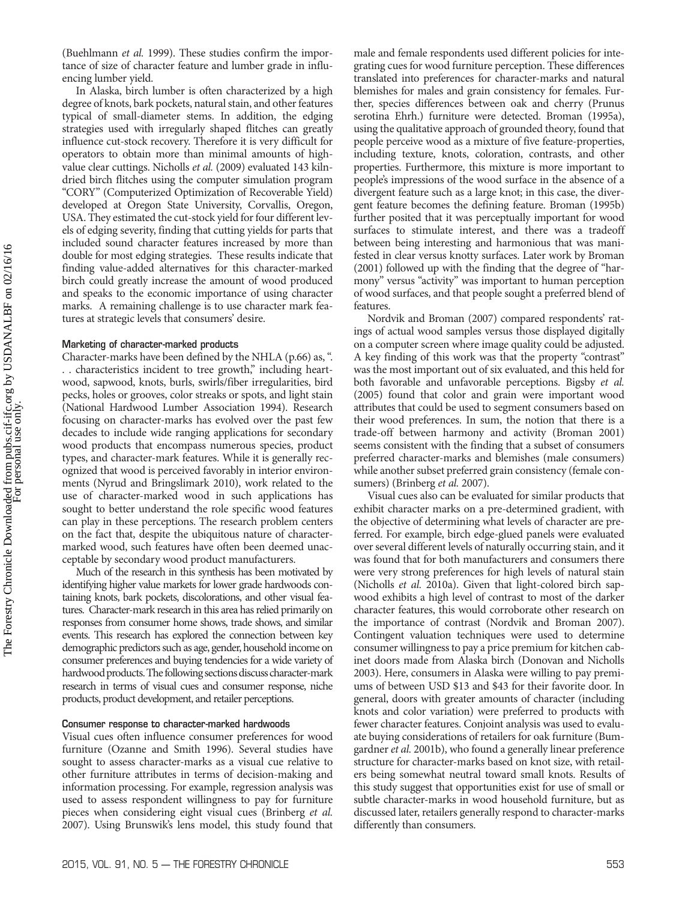(Buehlmann *et al.* 1999). These studies confirm the importance of size of character feature and lumber grade in influencing lumber yield.

In Alaska, birch lumber is often characterized by a high degree of knots, bark pockets, natural stain, and other features typical of small-diameter stems. In addition, the edging strategies used with irregularly shaped flitches can greatly influence cut-stock recovery. Therefore it is very difficult for operators to obtain more than minimal amounts of highvalue clear cuttings. Nicholls *et al.* (2009) evaluated 143 kilndried birch flitches using the computer simulation program "CORY" (Computerized Optimization of Recoverable Yield) developed at Oregon State University, Corvallis, Oregon, USA. They estimated the cut-stock yield for four different levels of edging severity, finding that cutting yields for parts that included sound character features increased by more than double for most edging strategies. These results indicate that finding value-added alternatives for this character-marked birch could greatly increase the amount of wood produced and speaks to the economic importance of using character marks. A remaining challenge is to use character mark features at strategic levels that consumers' desire.

## **Marketing of character-marked products**

Character-marks have been defined by the NHLA (p.66) as,". . . characteristics incident to tree growth," including heartwood, sapwood, knots, burls, swirls/fiber irregularities, bird pecks, holes or grooves, color streaks or spots, and light stain (National Hardwood Lumber Association 1994). Research focusing on character-marks has evolved over the past few decades to include wide ranging applications for secondary wood products that encompass numerous species, product types, and character-mark features. While it is generally recognized that wood is perceived favorably in interior environments (Nyrud and Bringslimark 2010), work related to the use of character-marked wood in such applications has sought to better understand the role specific wood features can play in these perceptions. The research problem centers on the fact that, despite the ubiquitous nature of charactermarked wood, such features have often been deemed unacceptable by secondary wood product manufacturers.

Much of the research in this synthesis has been motivated by identifying higher value markets for lower grade hardwoods containing knots, bark pockets, discolorations, and other visual features. Character-mark research in this area has relied primarily on responses from consumer home shows, trade shows, and similar events. This research has explored the connection between key demographic predictors such as age, gender, household income on consumer preferences and buying tendencies for a wide variety of hardwood products. The following sections discuss character-mark research in terms of visual cues and consumer response, niche products, product development, and retailer perceptions.

## **Consumer response to character-marked hardwoods**

Visual cues often influence consumer preferences for wood furniture (Ozanne and Smith 1996). Several studies have sought to assess character-marks as a visual cue relative to other furniture attributes in terms of decision-making and information processing. For example, regression analysis was used to assess respondent willingness to pay for furniture pieces when considering eight visual cues (Brinberg *et al.* 2007). Using Brunswik's lens model, this study found that male and female respondents used different policies for integrating cues for wood furniture perception. These differences translated into preferences for character-marks and natural blemishes for males and grain consistency for females. Further, species differences between oak and cherry (Prunus serotina Ehrh.) furniture were detected. Broman (1995a), using the qualitative approach of grounded theory, found that people perceive wood as a mixture of five feature-properties, including texture, knots, coloration, contrasts, and other properties. Furthermore, this mixture is more important to people's impressions of the wood surface in the absence of a divergent feature such as a large knot; in this case, the divergent feature becomes the defining feature. Broman (1995b) further posited that it was perceptually important for wood surfaces to stimulate interest, and there was a tradeoff between being interesting and harmonious that was manifested in clear versus knotty surfaces. Later work by Broman (2001) followed up with the finding that the degree of "harmony" versus "activity" was important to human perception of wood surfaces, and that people sought a preferred blend of features.

Nordvik and Broman (2007) compared respondents' ratings of actual wood samples versus those displayed digitally on a computer screen where image quality could be adjusted. A key finding of this work was that the property "contrast" was the most important out of six evaluated, and this held for both favorable and unfavorable perceptions. Bigsby *et al.* (2005) found that color and grain were important wood attributes that could be used to segment consumers based on their wood preferences. In sum, the notion that there is a trade-off between harmony and activity (Broman 2001) seems consistent with the finding that a subset of consumers preferred character-marks and blemishes (male consumers) while another subset preferred grain consistency (female consumers) (Brinberg *et al.* 2007).

Visual cues also can be evaluated for similar products that exhibit character marks on a pre-determined gradient, with the objective of determining what levels of character are preferred. For example, birch edge-glued panels were evaluated over several different levels of naturally occurring stain, and it was found that for both manufacturers and consumers there were very strong preferences for high levels of natural stain (Nicholls *et al.* 2010a). Given that light-colored birch sapwood exhibits a high level of contrast to most of the darker character features, this would corroborate other research on the importance of contrast (Nordvik and Broman 2007). Contingent valuation techniques were used to determine consumer willingness to pay a price premium for kitchen cabinet doors made from Alaska birch (Donovan and Nicholls 2003). Here, consumers in Alaska were willing to pay premiums of between USD \$13 and \$43 for their favorite door. In general, doors with greater amounts of character (including knots and color variation) were preferred to products with fewer character features. Conjoint analysis was used to evaluate buying considerations of retailers for oak furniture (Bumgardner *et al.* 2001b), who found a generally linear preference structure for character-marks based on knot size, with retailers being somewhat neutral toward small knots. Results of this study suggest that opportunities exist for use of small or subtle character-marks in wood household furniture, but as discussed later, retailers generally respond to character-marks differently than consumers.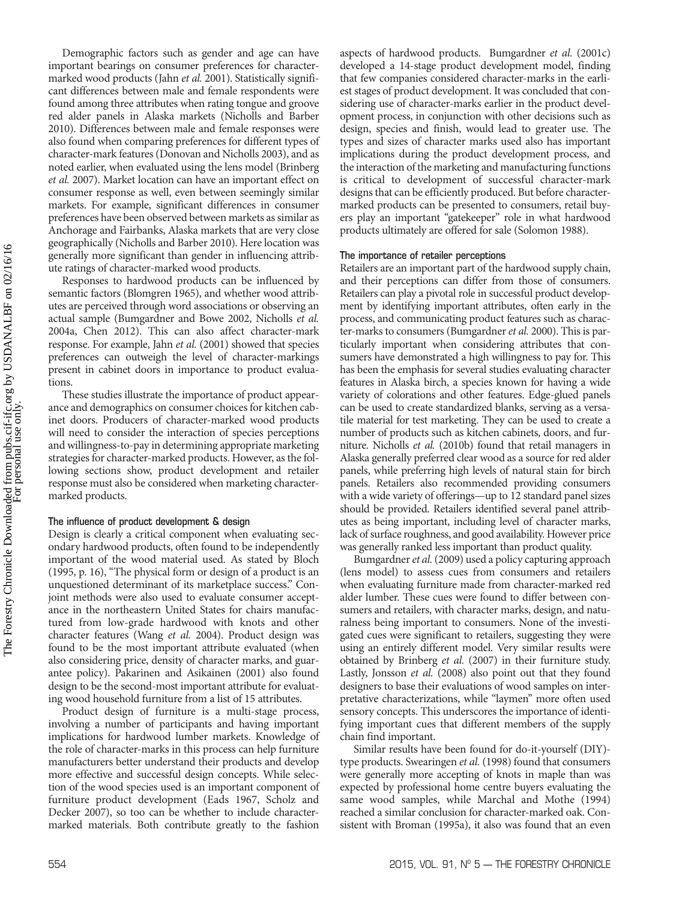Demographic factors such as gender and age can have important bearings on consumer preferences for charactermarked wood products (Jahn *et al.* 2001). Statistically significant differences between male and female respondents were found among three attributes when rating tongue and groove red alder panels in Alaska markets (Nicholls and Barber 2010). Differences between male and female responses were also found when comparing preferences for different types of character-mark features(Donovan and Nicholls 2003), and as noted earlier, when evaluated using the lens model (Brinberg *et al.* 2007). Market location can have an important effect on consumer response as well, even between seemingly similar markets. For example, significant differences in consumer preferences have been observed between markets as similar as Anchorage and Fairbanks, Alaska markets that are very close geographically (Nicholls and Barber 2010). Here location was generally more significant than gender in influencing attribute ratings of character-marked wood products.

Responses to hardwood products can be influenced by semantic factors (Blomgren 1965), and whether wood attributes are perceived through word associations or observing an actual sample (Bumgardner and Bowe 2002, Nicholls *et al.* 2004a, Chen 2012). This can also affect character-mark response. For example, Jahn *et al.* (2001) showed that species preferences can outweigh the level of character-markings present in cabinet doors in importance to product evaluations.

These studies illustrate the importance of product appearance and demographics on consumer choices for kitchen cabinet doors. Producers of character-marked wood products will need to consider the interaction of species perceptions and willingness-to-pay in determining appropriate marketing strategies for character-marked products. However, as the following sections show, product development and retailer response must also be considered when marketing charactermarked products.

#### **The influence of product development & design**

Design is clearly a critical component when evaluating secondary hardwood products, often found to be independently important of the wood material used. As stated by Bloch (1995, p. 16), "The physical form or design of a product is an unquestioned determinant of its marketplace success." Conjoint methods were also used to evaluate consumer acceptance in the northeastern United States for chairs manufactured from low-grade hardwood with knots and other character features (Wang *et al.* 2004). Product design was found to be the most important attribute evaluated (when also considering price, density of character marks, and guarantee policy). Pakarinen and Asikainen (2001) also found design to be the second-most important attribute for evaluating wood household furniture from a list of 15 attributes.

Product design of furniture is a multi-stage process, involving a number of participants and having important implications for hardwood lumber markets. Knowledge of the role of character-marks in this process can help furniture manufacturers better understand their products and develop more effective and successful design concepts. While selection of the wood species used is an important component of furniture product development (Eads 1967, Scholz and Decker 2007), so too can be whether to include charactermarked materials. Both contribute greatly to the fashion

aspects of hardwood products. Bumgardner *et al.* (2001c) developed a 14-stage product development model, finding that few companies considered character-marks in the earliest stages of product development. It was concluded that considering use of character-marks earlier in the product development process, in conjunction with other decisions such as design, species and finish, would lead to greater use. The types and sizes of character marks used also has important implications during the product development process, and the interaction of the marketing and manufacturing functions is critical to development of successful character-mark designs that can be efficiently produced. But before charactermarked products can be presented to consumers, retail buyers play an important "gatekeeper" role in what hardwood products ultimately are offered for sale (Solomon 1988).

#### **The importance of retailer perceptions**

Retailers are an important part of the hardwood supply chain, and their perceptions can differ from those of consumers. Retailers can play a pivotal role in successful product development by identifying important attributes, often early in the process, and communicating product features such as character-marks to consumers (Bumgardner *et al.* 2000). This is particularly important when considering attributes that consumers have demonstrated a high willingness to pay for. This has been the emphasis for several studies evaluating character features in Alaska birch, a species known for having a wide variety of colorations and other features. Edge-glued panels can be used to create standardized blanks, serving as a versatile material for test marketing. They can be used to create a number of products such as kitchen cabinets, doors, and furniture. Nicholls *et al.* (2010b) found that retail managers in Alaska generally preferred clear wood as a source for red alder panels, while preferring high levels of natural stain for birch panels. Retailers also recommended providing consumers with a wide variety of offerings—up to 12 standard panel sizes should be provided. Retailers identified several panel attributes as being important, including level of character marks, lack of surface roughness, and good availability. However price was generally ranked less important than product quality.

Bumgardner *et al.*(2009) used a policy capturing approach (lens model) to assess cues from consumers and retailers when evaluating furniture made from character-marked red alder lumber. These cues were found to differ between consumers and retailers, with character marks, design, and naturalness being important to consumers. None of the investigated cues were significant to retailers, suggesting they were using an entirely different model. Very similar results were obtained by Brinberg *et al.* (2007) in their furniture study. Lastly, Jonsson *et al.* (2008) also point out that they found designers to base their evaluations of wood samples on interpretative characterizations, while "laymen" more often used sensory concepts. This underscores the importance of identifying important cues that different members of the supply chain find important.

Similar results have been found for do-it-yourself (DIY) type products. Swearingen *et al.* (1998) found that consumers were generally more accepting of knots in maple than was expected by professional home centre buyers evaluating the same wood samples, while Marchal and Mothe (1994) reached a similar conclusion for character-marked oak. Consistent with Broman (1995a), it also was found that an even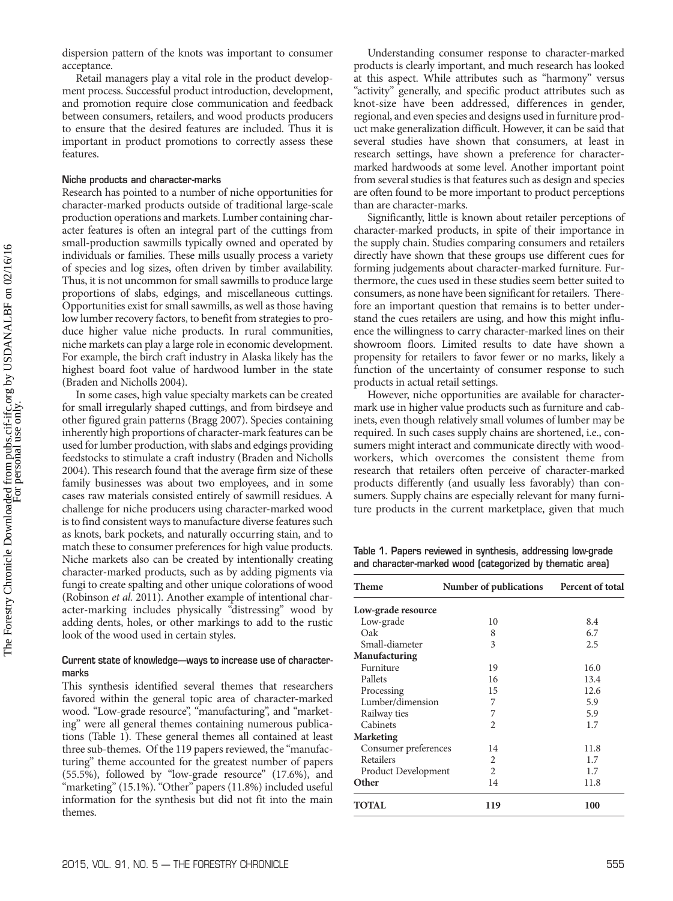dispersion pattern of the knots was important to consumer acceptance.

Retail managers play a vital role in the product development process. Successful product introduction, development, and promotion require close communication and feedback between consumers, retailers, and wood products producers to ensure that the desired features are included. Thus it is important in product promotions to correctly assess these features.

#### **Niche products and character-marks**

Research has pointed to a number of niche opportunities for character-marked products outside of traditional large-scale production operations and markets. Lumber containing character features is often an integral part of the cuttings from small-production sawmills typically owned and operated by individuals or families. These mills usually process a variety of species and log sizes, often driven by timber availability. Thus, it is not uncommon for small sawmills to produce large proportions of slabs, edgings, and miscellaneous cuttings. Opportunities exist for small sawmills, as well as those having low lumber recovery factors, to benefit from strategies to produce higher value niche products. In rural communities, niche markets can play a large role in economic development. For example, the birch craft industry in Alaska likely has the highest board foot value of hardwood lumber in the state (Braden and Nicholls 2004).

In some cases, high value specialty markets can be created for small irregularly shaped cuttings, and from birdseye and other figured grain patterns (Bragg 2007). Species containing inherently high proportions of character-mark features can be used for lumber production, with slabs and edgings providing feedstocks to stimulate a craft industry (Braden and Nicholls 2004). This research found that the average firm size of these family businesses was about two employees, and in some cases raw materials consisted entirely of sawmill residues. A challenge for niche producers using character-marked wood is to find consistent ways to manufacture diverse features such as knots, bark pockets, and naturally occurring stain, and to match these to consumer preferences for high value products. Niche markets also can be created by intentionally creating character-marked products, such as by adding pigments via fungi to create spalting and other unique colorations of wood (Robinson *et al.* 2011). Another example of intentional character-marking includes physically "distressing" wood by adding dents, holes, or other markings to add to the rustic look of the wood used in certain styles.

## **Current state of knowledge—ways to increase use of charactermarks**

This synthesis identified several themes that researchers favored within the general topic area of character-marked wood. "Low-grade resource", "manufacturing", and "marketing" were all general themes containing numerous publications (Table 1). These general themes all contained at least three sub-themes. Of the 119 papers reviewed, the "manufacturing" theme accounted for the greatest number of papers (55.5%), followed by "low-grade resource" (17.6%), and "marketing" (15.1%). "Other" papers (11.8%) included useful information for the synthesis but did not fit into the main themes.

Understanding consumer response to character-marked products is clearly important, and much research has looked at this aspect. While attributes such as "harmony" versus "activity" generally, and specific product attributes such as knot-size have been addressed, differences in gender, regional, and even species and designs used in furniture product make generalization difficult. However, it can be said that several studies have shown that consumers, at least in research settings, have shown a preference for charactermarked hardwoods at some level. Another important point from several studies is that features such as design and species are often found to be more important to product perceptions than are character-marks.

Significantly, little is known about retailer perceptions of character-marked products, in spite of their importance in the supply chain. Studies comparing consumers and retailers directly have shown that these groups use different cues for forming judgements about character-marked furniture. Furthermore, the cues used in these studies seem better suited to consumers, as none have been significant for retailers. Therefore an important question that remains is to better understand the cues retailers are using, and how this might influence the willingness to carry character-marked lines on their showroom floors. Limited results to date have shown a propensity for retailers to favor fewer or no marks, likely a function of the uncertainty of consumer response to such products in actual retail settings.

However, niche opportunities are available for charactermark use in higher value products such as furniture and cabinets, even though relatively small volumes of lumber may be required. In such cases supply chains are shortened, i.e., consumers might interact and communicate directly with woodworkers, which overcomes the consistent theme from research that retailers often perceive of character-marked products differently (and usually less favorably) than consumers. Supply chains are especially relevant for many furniture products in the current marketplace, given that much

**Table 1. Papers reviewed in synthesis, addressing low-grade and character-marked wood (categorized by thematic area)**

| Theme                | Number of publications | Percent of total |
|----------------------|------------------------|------------------|
| Low-grade resource   |                        |                  |
| Low-grade            | 10                     | 8.4              |
| Oak                  | 8                      | 6.7              |
| Small-diameter       | 3                      | 2.5              |
| Manufacturing        |                        |                  |
| Furniture            | 19                     | 16.0             |
| Pallets              | 16                     | 13.4             |
| Processing           | 15                     | 12.6             |
| Lumber/dimension     | 7                      | 5.9              |
| Railway ties         | 7                      | 5.9              |
| Cabinets             | $\overline{2}$         | 1.7              |
| <b>Marketing</b>     |                        |                  |
| Consumer preferences | 14                     | 11.8             |
| Retailers            | 2                      | 1.7              |
| Product Development  | $\mathfrak{D}$         | 1.7              |
| Other                | 14                     | 11.8             |
| TOTAL                | 119                    | 100              |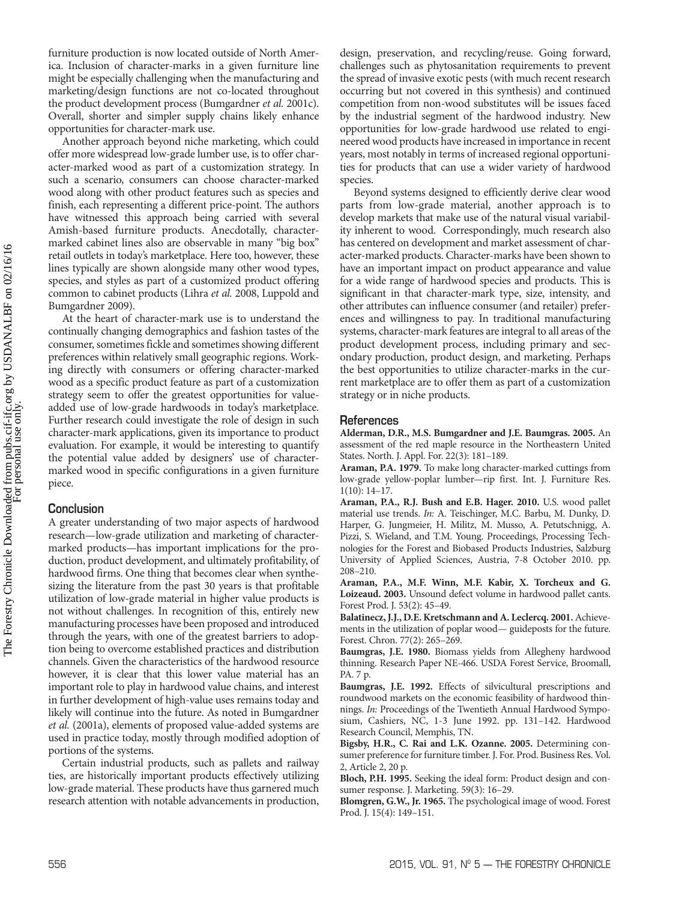furniture production is now located outside of North America. Inclusion of character-marks in a given furniture line might be especially challenging when the manufacturing and marketing/design functions are not co-located throughout the product development process (Bumgardner *et al.* 2001c). Overall, shorter and simpler supply chains likely enhance opportunities for character-mark use.

Another approach beyond niche marketing, which could offer more widespread low-grade lumber use, is to offer character-marked wood as part of a customization strategy. In such a scenario, consumers can choose character-marked wood along with other product features such as species and finish, each representing a different price-point. The authors have witnessed this approach being carried with several Amish-based furniture products. Anecdotally, charactermarked cabinet lines also are observable in many "big box" retail outlets in today's marketplace. Here too, however, these lines typically are shown alongside many other wood types, species, and styles as part of a customized product offering common to cabinet products (Lihra *et al.* 2008, Luppold and Bumgardner 2009).

At the heart of character-mark use is to understand the continually changing demographics and fashion tastes of the consumer, sometimes fickle and sometimes showing different preferences within relatively small geographic regions. Working directly with consumers or offering character-marked wood as a specific product feature as part of a customization strategy seem to offer the greatest opportunities for valueadded use of low-grade hardwoods in today's marketplace. Further research could investigate the role of design in such character-mark applications, given its importance to product evaluation. For example, it would be interesting to quantify the potential value added by designers' use of charactermarked wood in specific configurations in a given furniture piece.

## **Conclusion**

A greater understanding of two major aspects of hardwood research—low-grade utilization and marketing of charactermarked products—has important implications for the production, product development, and ultimately profitability, of hardwood firms. One thing that becomes clear when synthesizing the literature from the past 30 years is that profitable utilization of low-grade material in higher value products is not without challenges. In recognition of this, entirely new manufacturing processes have been proposed and introduced through the years, with one of the greatest barriers to adoption being to overcome established practices and distribution channels. Given the characteristics of the hardwood resource however, it is clear that this lower value material has an important role to play in hardwood value chains, and interest in further development of high-value uses remains today and likely will continue into the future. As noted in Bumgardner *et al.* (2001a), elements of proposed value-added systems are used in practice today, mostly through modified adoption of portions of the systems.

Certain industrial products, such as pallets and railway ties, are historically important products effectively utilizing low-grade material. These products have thus garnered much research attention with notable advancements in production,

design, preservation, and recycling/reuse. Going forward, challenges such as phytosanitation requirements to prevent the spread of invasive exotic pests (with much recent research occurring but not covered in this synthesis) and continued competition from non-wood substitutes will be issues faced by the industrial segment of the hardwood industry. New opportunities for low-grade hardwood use related to engineeredwood products have increased in importance in recent years, most notably in terms of increased regional opportunities for products that can use a wider variety of hardwood species.

Beyond systems designed to efficiently derive clear wood parts from low-grade material, another approach is to develop markets that make use of the natural visual variability inherent to wood. Correspondingly, much research also has centered on development and market assessment of character-marked products. Character-marks have been shown to have an important impact on product appearance and value for a wide range of hardwood species and products. This is significant in that character-mark type, size, intensity, and other attributes can influence consumer (and retailer) preferences and willingness to pay. In traditional manufacturing systems, character-mark features are integral to all areas of the product development process, including primary and secondary production, product design, and marketing. Perhaps the best opportunities to utilize character-marks in the current marketplace are to offer them as part of a customization strategy or in niche products.

## **References**

**Alderman, D.R., M.S. Bumgardner and J.E. Baumgras. 2005.** An assessment of the red maple resource in the Northeastern United States. North. J. Appl. For. 22(3): 181–189.

**Araman, P.A. 1979.** To make long character-marked cuttings from low-grade yellow-poplar lumber—rip first. Int. J. Furniture Res. 1(10): 14–17.

**Araman, P.A., R.J. Bush and E.B. Hager. 2010.** U.S. wood pallet material use trends. *In:* A. Teischinger, M.C. Barbu, M. Dunky, D. Harper, G. Jungmeier, H. Militz, M. Musso, A. Petutschnigg, A. Pizzi, S. Wieland, and T.M. Young. Proceedings, Processing Technologies for the Forest and Biobased Products Industries, Salzburg University of Applied Sciences, Austria, 7-8 October 2010. pp. 208–210.

**Araman, P.A., M.F. Winn, M.F. Kabir, X. Torcheux and G. Loizeaud. 2003.** Unsound defect volume in hardwood pallet cants. Forest Prod. J. 53(2): 45–49.

**Balatinecz,J.J., D.E. Kretschmann and A. Leclercq. 2001.**Achievements in the utilization of poplar wood— guideposts for the future. Forest. Chron. 77(2): 265–269.

**Baumgras, J.E. 1980.** Biomass yields from Allegheny hardwood thinning. Research Paper NE-466. USDA Forest Service, Broomall, PA. 7 p.

**Baumgras, J.E. 1992.** Effects of silvicultural prescriptions and roundwood markets on the economic feasibility of hardwood thinnings. *In:* Proceedings of the Twentieth Annual Hardwood Symposium, Cashiers, NC, 1-3 June 1992. pp. 131–142. Hardwood Research Council, Memphis, TN.

**Bigsby, H.R., C. Rai and L.K. Ozanne. 2005.** Determining consumer preference for furniture timber. J. For. Prod. Business Res. Vol. 2, Article 2, 20 p.

**Bloch, P.H. 1995.** Seeking the ideal form: Product design and consumer response. J. Marketing. 59(3): 16–29.

**Blomgren, G.W., Jr. 1965.** The psychological image of wood. Forest Prod. J. 15(4): 149–151.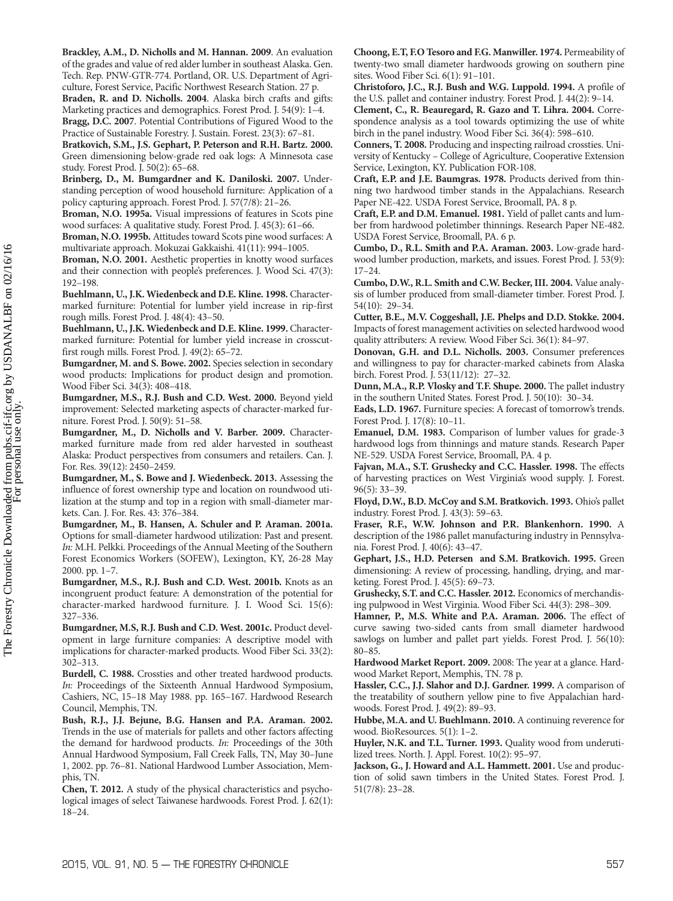**Brackley, A.M., D. Nicholls and M. Hannan. 2009**. An evaluation of the grades and value of red alder lumber in southeast Alaska. Gen. Tech. Rep. PNW-GTR-774. Portland, OR. U.S. Department of Agriculture, Forest Service, Pacific Northwest Research Station. 27 p.

**Braden, R. and D. Nicholls. 2004**. Alaska birch crafts and gifts: Marketing practices and demographics. Forest Prod. J. 54(9): 1–4.

**Bragg, D.C. 2007**. Potential Contributions of Figured Wood to the Practice of Sustainable Forestry. J. Sustain. Forest. 23(3): 67–81.

**Bratkovich, S.M., J.S. Gephart, P. Peterson and R.H. Bartz. 2000.** Green dimensioning below-grade red oak logs: A Minnesota case study. Forest Prod. J. 50(2): 65–68.

**Brinberg, D., M. Bumgardner and K. Daniloski. 2007.** Understanding perception of wood household furniture: Application of a policy capturing approach. Forest Prod. J. 57(7/8): 21–26.

**Broman, N.O. 1995a.** Visual impressions of features in Scots pine wood surfaces: A qualitative study. Forest Prod. J. 45(3): 61–66.

**Broman, N.O. 1995b.** Attitudes toward Scots pine wood surfaces: A multivariate approach. Mokuzai Gakkaishi. 41(11): 994–1005.

**Broman, N.O. 2001.** Aesthetic properties in knotty wood surfaces and their connection with people's preferences. J. Wood Sci. 47(3): 192–198.

**Buehlmann, U.,J.K. Wiedenbeck and D.E. Kline. 1998.** Charactermarked furniture: Potential for lumber yield increase in rip-first rough mills. Forest Prod. J. 48(4): 43–50.

**Buehlmann, U.,J.K. Wiedenbeck and D.E. Kline. 1999.** Charactermarked furniture: Potential for lumber yield increase in crosscutfirst rough mills. Forest Prod. J. 49(2): 65–72.

**Bumgardner, M. and S. Bowe. 2002.** Species selection in secondary wood products: Implications for product design and promotion. Wood Fiber Sci. 34(3): 408–418.

**Bumgardner, M.S., R.J. Bush and C.D. West. 2000.** Beyond yield improvement: Selected marketing aspects of character-marked furniture. Forest Prod. J. 50(9): 51–58.

**Bumgardner, M., D. Nicholls and V. Barber. 2009.** Charactermarked furniture made from red alder harvested in southeast Alaska: Product perspectives from consumers and retailers. Can. J. For. Res. 39(12): 2450–2459.

**Bumgardner, M., S. Bowe and J. Wiedenbeck. 2013.** Assessing the influence of forest ownership type and location on roundwood utilization at the stump and top in a region with small-diameter markets. Can. J. For. Res. 43: 376–384.

**Bumgardner, M., B. Hansen, A. Schuler and P. Araman. 2001a.** Options for small-diameter hardwood utilization: Past and present. *In:* M.H. Pelkki. Proceedings of the Annual Meeting of the Southern Forest Economics Workers (SOFEW), Lexington, KY, 26-28 May 2000. pp. 1–7.

**Bumgardner, M.S., R.J. Bush and C.D. West. 2001b.** Knots as an incongruent product feature: A demonstration of the potential for character-marked hardwood furniture. J. I. Wood Sci. 15(6): 327–336.

**Bumgardner, M.S, R.J. Bush and C.D. West. 2001c.** Product development in large furniture companies: A descriptive model with implications for character-marked products. Wood Fiber Sci. 33(2): 302–313.

**Burdell, C. 1988.** Crossties and other treated hardwood products. *In:* Proceedings of the Sixteenth Annual Hardwood Symposium, Cashiers, NC, 15–18 May 1988. pp. 165–167. Hardwood Research Council, Memphis, TN.

**Bush, R.J., J.J. Bejune, B.G. Hansen and P.A. Araman. 2002.** Trends in the use of materials for pallets and other factors affecting the demand for hardwood products. *In:* Proceedings of the 30th Annual Hardwood Symposium, Fall Creek Falls, TN, May 30–June 1, 2002. pp. 76–81. National Hardwood Lumber Association, Memphis, TN.

**Chen, T. 2012.** A study of the physical characteristics and psychological images of select Taiwanese hardwoods. Forest Prod. J. 62(1): 18–24.

**Choong, E.T, F.O Tesoro and F.G. Manwiller. 1974.** Permeability of twenty-two small diameter hardwoods growing on southern pine sites. Wood Fiber Sci. 6(1): 91–101.

**Christoforo, J.C., R.J. Bush and W.G. Luppold. 1994.** A profile of the U.S. pallet and container industry. Forest Prod. J. 44(2): 9–14.

**Clement, C., R. Beauregard, R. Gazo and T. Lihra. 2004.** Correspondence analysis as a tool towards optimizing the use of white birch in the panel industry. Wood Fiber Sci. 36(4): 598–610.

**Conners, T. 2008.** Producing and inspecting railroad crossties. University of Kentucky – College of Agriculture, Cooperative Extension Service, Lexington, KY. Publication FOR-108.

**Craft, E.P. and J.E. Baumgras. 1978.** Products derived from thinning two hardwood timber stands in the Appalachians. Research Paper NE-422. USDA Forest Service, Broomall, PA. 8 p.

**Craft, E.P. and D.M. Emanuel. 1981.** Yield of pallet cants and lumber from hardwood poletimber thinnings. Research Paper NE-482. USDA Forest Service, Broomall, PA. 6 p.

**Cumbo, D., R.L. Smith and P.A. Araman. 2003.** Low-grade hardwood lumber production, markets, and issues. Forest Prod. J. 53(9): 17–24.

**Cumbo, D.W., R.L. Smith and C.W. Becker,III. 2004.** Value analysis of lumber produced from small-diameter timber. Forest Prod. J. 54(10): 29–34.

**Cutter, B.E., M.V. Coggeshall, J.E. Phelps and D.D. Stokke. 2004.** Impacts of forest management activities on selected hardwood wood quality attributers: A review. Wood Fiber Sci. 36(1): 84–97.

**Donovan, G.H. and D.L. Nicholls. 2003.** Consumer preferences and willingness to pay for character-marked cabinets from Alaska birch. Forest Prod. J. 53(11/12): 27–32.

**Dunn, M.A., R.P. Vlosky and T.F. Shupe. 2000.** The pallet industry in the southern United States. Forest Prod. J. 50(10): 30–34.

**Eads, L.D. 1967.** Furniture species: A forecast of tomorrow's trends. Forest Prod. J. 17(8): 10–11.

**Emanuel, D.M. 1983.** Comparison of lumber values for grade-3 hardwood logs from thinnings and mature stands. Research Paper NE-529. USDA Forest Service, Broomall, PA. 4 p.

**Fajvan, M.A., S.T. Grushecky and C.C. Hassler. 1998.** The effects of harvesting practices on West Virginia's wood supply. J. Forest. 96(5): 33–39.

**Floyd, D.W., B.D. McCoy and S.M. Bratkovich. 1993.** Ohio's pallet industry. Forest Prod. J. 43(3): 59–63.

**Fraser, R.F., W.W. Johnson and P.R. Blankenhorn. 1990.** A description of the 1986 pallet manufacturing industry in Pennsylvania. Forest Prod. J. 40(6): 43–47.

**Gephart, J.S., H.D. Petersen and S.M. Bratkovich. 1995.** Green dimensioning: A review of processing, handling, drying, and marketing. Forest Prod. J. 45(5): 69–73.

**Grushecky, S.T. and C.C. Hassler. 2012.** Economics of merchandising pulpwood in West Virginia. Wood Fiber Sci. 44(3): 298–309.

**Hamner, P., M.S. White and P.A. Araman. 2006.** The effect of curve sawing two-sided cants from small diameter hardwood sawlogs on lumber and pallet part yields. Forest Prod. J. 56(10): 80–85.

**Hardwood Market Report. 2009.** 2008: The year at a glance. Hardwood Market Report, Memphis, TN. 78 p.

**Hassler, C.C., J.J. Slahor and D.J. Gardner. 1999.** A comparison of the treatability of southern yellow pine to five Appalachian hardwoods. Forest Prod. J. 49(2): 89–93.

**Hubbe, M.A. and U. Buehlmann. 2010.** A continuing reverence for wood. BioResources. 5(1): 1–2.

**Huyler, N.K. and T.L. Turner. 1993.** Quality wood from underutilized trees. North. J. Appl. Forest. 10(2): 95–97.

**Jackson, G., J. Howard and A.L. Hammett. 2001.** Use and production of solid sawn timbers in the United States. Forest Prod. J. 51(7/8): 23–28.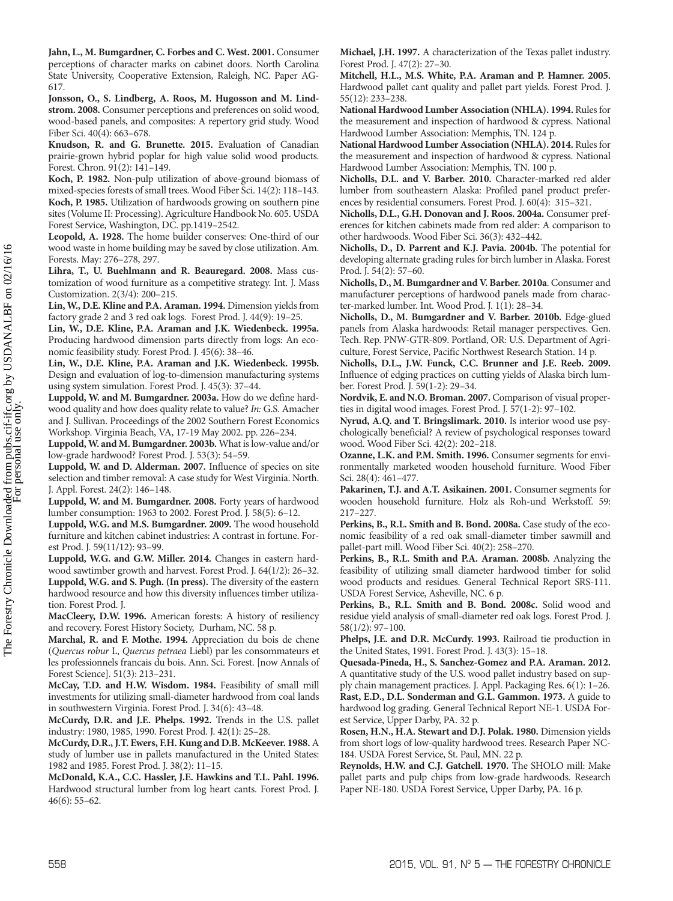**Jahn, L., M. Bumgardner, C. Forbes and C. West. 2001.** Consumer perceptions of character marks on cabinet doors. North Carolina State University, Cooperative Extension, Raleigh, NC. Paper AG-617.

**Jonsson, O., S. Lindberg, A. Roos, M. Hugosson and M. Lindstrom. 2008.** Consumer perceptions and preferences on solid wood, wood-based panels, and composites: A repertory grid study. Wood Fiber Sci. 40(4): 663–678.

**Knudson, R. and G. Brunette. 2015.** Evaluation of Canadian prairie-grown hybrid poplar for high value solid wood products. Forest. Chron. 91(2): 141–149.

**Koch, P. 1982.** Non-pulp utilization of above-ground biomass of mixed-species forests of small trees. Wood Fiber Sci. 14(2): 118–143. **Koch, P. 1985.** Utilization of hardwoods growing on southern pine sites (Volume II: Processing). Agriculture Handbook No. 605. USDA Forest Service, Washington, DC. pp.1419–2542.

**Leopold, A. 1928.** The home builder conserves: One-third of our wood waste in home building may be saved by close utilization. Am. Forests. May: 276–278, 297.

**Lihra, T., U. Buehlmann and R. Beauregard. 2008.** Mass customization of wood furniture as a competitive strategy. Int. J. Mass Customization. 2(3/4): 200–215.

**Lin, W., D.E. Kline and P.A. Araman. 1994.** Dimension yieldsfrom factory grade 2 and 3 red oak logs. Forest Prod. J. 44(9): 19–25.

**Lin, W., D.E. Kline, P.A. Araman and J.K. Wiedenbeck. 1995a.** Producing hardwood dimension parts directly from logs: An economic feasibility study. Forest Prod. J. 45(6): 38–46.

**Lin, W., D.E. Kline, P.A. Araman and J.K. Wiedenbeck. 1995b.** Design and evaluation of log-to-dimension manufacturing systems using system simulation. Forest Prod. J. 45(3): 37–44.

**Luppold, W. and M. Bumgardner. 2003a.** How do we define hardwood quality and how does quality relate to value? *In:* G.S. Amacher and J. Sullivan. Proceedings of the 2002 Southern Forest Economics Workshop. Virginia Beach, VA, 17-19 May 2002. pp. 226–234.

**Luppold,W. and M. Bumgardner. 2003b.** What islow-value and/or low-grade hardwood? Forest Prod. J. 53(3): 54–59.

**Luppold, W. and D. Alderman. 2007.** Influence of species on site selection and timber removal: A case study for West Virginia. North. J. Appl. Forest. 24(2): 146–148.

**Luppold, W. and M. Bumgardner. 2008.** Forty years of hardwood lumber consumption: 1963 to 2002. Forest Prod. J. 58(5): 6–12.

**Luppold, W.G. and M.S. Bumgardner. 2009.** The wood household furniture and kitchen cabinet industries: A contrast in fortune. Forest Prod. J. 59(11/12): 93–99.

**Luppold, W.G. and G.W. Miller. 2014.** Changes in eastern hardwood sawtimber growth and harvest. Forest Prod. J. 64(1/2): 26–32. **Luppold, W.G. and S. Pugh. (In press).** The diversity of the eastern hardwood resource and how this diversity influences timber utilization. Forest Prod. J.

**MacCleery, D.W. 1996.** American forests: A history of resiliency and recovery. Forest History Society, Durham, NC. 58 p.

**Marchal, R. and F. Mothe. 1994.** Appreciation du bois de chene (*Quercus robur* L, *Quercus petraea* Liebl) par les consommateurs et les professionnels francais du bois. Ann. Sci. Forest. [now Annals of Forest Science]. 51(3): 213–231.

**McCay, T.D. and H.W. Wisdom. 1984.** Feasibility of small mill investments for utilizing small-diameter hardwood from coal lands in southwestern Virginia. Forest Prod. J. 34(6): 43–48.

**McCurdy, D.R. and J.E. Phelps. 1992.** Trends in the U.S. pallet industry: 1980, 1985, 1990. Forest Prod. J. 42(1): 25–28.

**McCurdy, D.R.,J.T. Ewers, F.H. Kung and D.B. McKeever. 1988.** A study of lumber use in pallets manufactured in the United States: 1982 and 1985. Forest Prod. J. 38(2): 11–15.

**McDonald, K.A., C.C. Hassler, J.E. Hawkins and T.L. Pahl. 1996.** Hardwood structural lumber from log heart cants. Forest Prod. J. 46(6): 55–62.

**Michael, J.H. 1997.** A characterization of the Texas pallet industry. Forest Prod. J. 47(2): 27–30.

**Mitchell, H.L., M.S. White, P.A. Araman and P. Hamner. 2005.** Hardwood pallet cant quality and pallet part yields. Forest Prod. J. 55(12): 233–238.

**National Hardwood Lumber Association (NHLA). 1994.** Rulesfor the measurement and inspection of hardwood & cypress. National Hardwood Lumber Association: Memphis, TN. 124 p.

**National Hardwood Lumber Association (NHLA). 2014.** Rulesfor the measurement and inspection of hardwood & cypress. National Hardwood Lumber Association: Memphis, TN. 100 p.

**Nicholls, D.L. and V. Barber. 2010.** Character-marked red alder lumber from southeastern Alaska: Profiled panel product preferences by residential consumers. Forest Prod. J. 60(4): 315–321.

**Nicholls, D.L., G.H. Donovan and J. Roos. 2004a.** Consumer preferences for kitchen cabinets made from red alder: A comparison to other hardwoods. Wood Fiber Sci. 36(3): 432–442.

**Nicholls, D., D. Parrent and K.J. Pavia. 2004b.** The potential for developing alternate grading rules for birch lumber in Alaska. Forest Prod. J. 54(2): 57–60.

**Nicholls, D., M. Bumgardner and V. Barber. 2010a**. Consumer and manufacturer perceptions of hardwood panels made from character-marked lumber. Int. Wood Prod. J. 1(1): 28–34.

**Nicholls, D., M. Bumgardner and V. Barber. 2010b.** Edge-glued panels from Alaska hardwoods: Retail manager perspectives. Gen. Tech. Rep. PNW-GTR-809. Portland, OR: U.S. Department of Agriculture, Forest Service, Pacific Northwest Research Station. 14 p.

**Nicholls, D.L., J.W. Funck, C.C. Brunner and J.E. Reeb. 2009.** Influence of edging practices on cutting yields of Alaska birch lumber. Forest Prod. J. 59(1-2): 29–34.

**Nordvik, E. and N.O. Broman. 2007.** Comparison of visual properties in digital wood images. Forest Prod. J. 57(1-2): 97–102.

**Nyrud, A.Q. and T. Bringslimark. 2010.** Is interior wood use psychologically beneficial? A review of psychological responses toward wood. Wood Fiber Sci. 42(2): 202–218.

**Ozanne, L.K. and P.M. Smith. 1996.** Consumer segments for environmentally marketed wooden household furniture. Wood Fiber Sci. 28(4): 461–477.

**Pakarinen, T.J. and A.T. Asikainen. 2001.** Consumer segments for wooden household furniture. Holz als Roh-und Werkstoff. 59: 217–227.

**Perkins, B., R.L. Smith and B. Bond. 2008a.** Case study of the economic feasibility of a red oak small-diameter timber sawmill and pallet-part mill. Wood Fiber Sci. 40(2): 258–270.

**Perkins, B., R.L. Smith and P.A. Araman. 2008b.** Analyzing the feasibility of utilizing small diameter hardwood timber for solid wood products and residues. General Technical Report SRS-111. USDA Forest Service, Asheville, NC. 6 p.

**Perkins, B., R.L. Smith and B. Bond. 2008c.** Solid wood and residue yield analysis of small-diameter red oak logs. Forest Prod. J. 58(1/2): 97–100.

**Phelps, J.E. and D.R. McCurdy. 1993.** Railroad tie production in the United States, 1991. Forest Prod. J. 43(3): 15–18.

**Quesada-Pineda, H., S. Sanchez-Gomez and P.A. Araman. 2012.** A quantitative study of the U.S. wood pallet industry based on supply chain management practices. J. Appl. Packaging Res. 6(1): 1–26. **Rast, E.D., D.L. Sonderman and G.L. Gammon. 1973.** A guide to hardwood log grading. General Technical Report NE-1. USDA Forest Service, Upper Darby, PA. 32 p.

**Rosen, H.N., H.A. Stewart and D.J. Polak. 1980.** Dimension yields from short logs of low-quality hardwood trees. Research Paper NC-184. USDA Forest Service, St. Paul, MN. 22 p.

**Reynolds, H.W. and C.J. Gatchell. 1970.** The SHOLO mill: Make pallet parts and pulp chips from low-grade hardwoods. Research Paper NE-180. USDA Forest Service, Upper Darby, PA. 16 p.